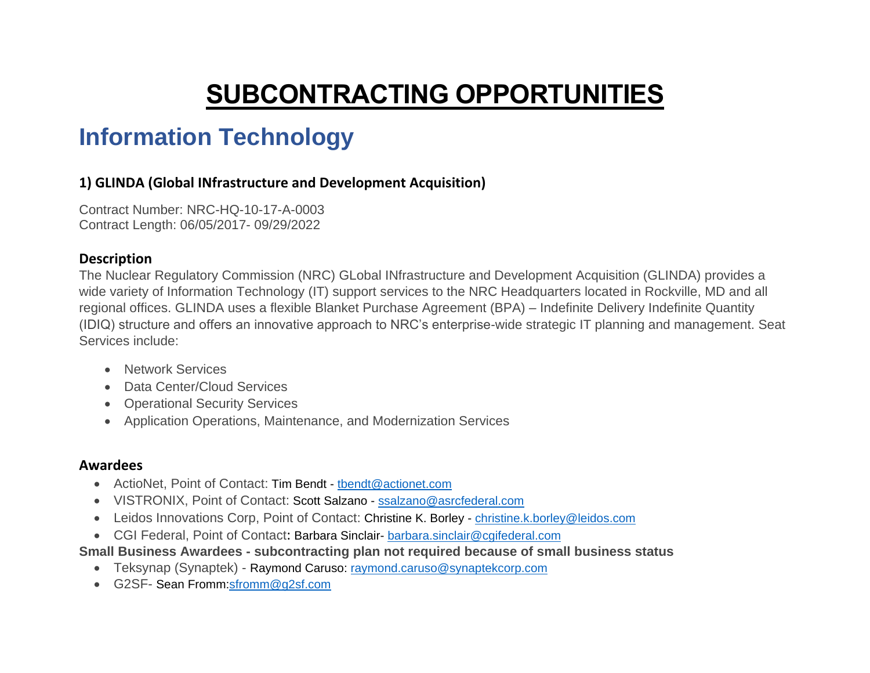# **SUBCONTRACTING OPPORTUNITIES**

# **Information Technology**

# **1) GLINDA (Global INfrastructure and Development Acquisition)**

Contract Number: NRC-HQ-10-17-A-0003 Contract Length: 06/05/2017- 09/29/2022

### **Description**

The Nuclear Regulatory Commission (NRC) GLobal INfrastructure and Development Acquisition (GLINDA) provides a wide variety of Information Technology (IT) support services to the NRC Headquarters located in Rockville, MD and all regional offices. GLINDA uses a flexible Blanket Purchase Agreement (BPA) – Indefinite Delivery Indefinite Quantity (IDIQ) structure and offers an innovative approach to NRC's enterprise-wide strategic IT planning and management. Seat Services include:

- Network Services
- Data Center/Cloud Services
- Operational Security Services
- Application Operations, Maintenance, and Modernization Services

## **Awardees**

- ActioNet, Point of Contact: Tim Bendt thendt@actionet.com
- VISTRONIX, Point of Contact: Scott Salzano [ssalzano@asrcfederal.com](mailto:ssalzano@asrcfederal.com)
- Leidos Innovations Corp, Point of Contact: Christine K. Borley [christine.k.borley@leidos.com](mailto:christine.k.borley@leidos.com)
- CGI Federal, Point of Contact: Barbara Sinclair- [barbara.sinclair@cgifederal.com](mailto:barbara.sinclair@cgifederal.com)

## **Small Business Awardees - subcontracting plan not required because of small business status**

- Teksynap (Synaptek) Raymond Caruso: [raymond.caruso@synaptekcorp.com](mailto:raymond.caruso@synaptekcorp.com)
- G2SF- Sean Fromm[:sfromm@g2sf.com](mailto:sfromm@g2sf.com)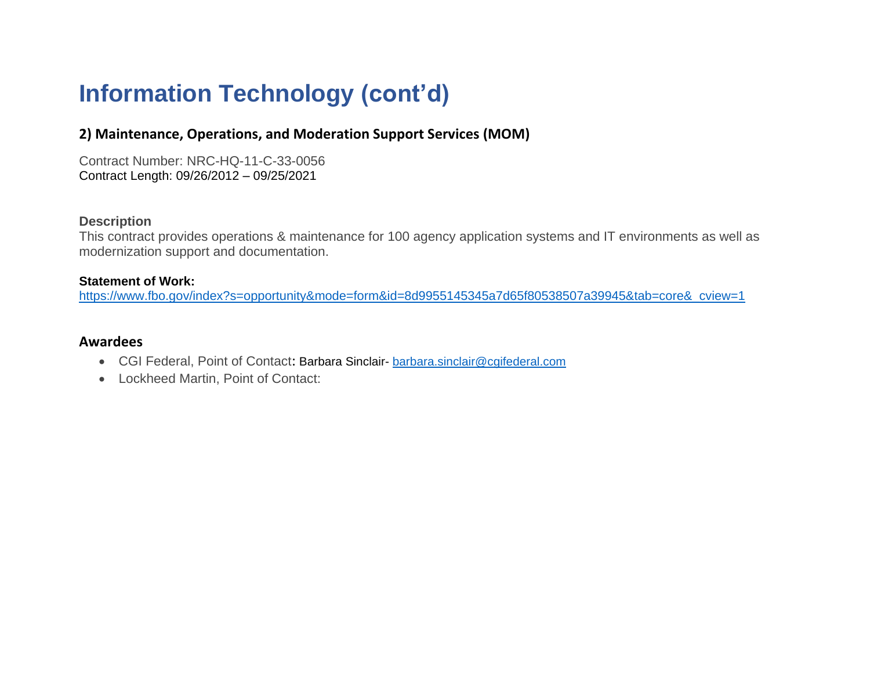# **Information Technology (cont'd)**

## **2) Maintenance, Operations, and Moderation Support Services (MOM)**

Contract Number: NRC-HQ-11-C-33-0056 Contract Length: 09/26/2012 – 09/25/2021

#### **Description**

This contract provides operations & maintenance for 100 agency application systems and IT environments as well as modernization support and documentation.

#### **Statement of Work:**

[https://www.fbo.gov/index?s=opportunity&mode=form&id=8d9955145345a7d65f80538507a39945&tab=core&\\_cview=1](https://www.fbo.gov/index?s=opportunity&mode=form&id=8d9955145345a7d65f80538507a39945&tab=core&_cview=1)

#### **Awardees**

- CGI Federal, Point of Contact: Barbara Sinclair- [barbara.sinclair@cgifederal.com](mailto:barbara.sinclair@cgifederal.com)
- Lockheed Martin, Point of Contact: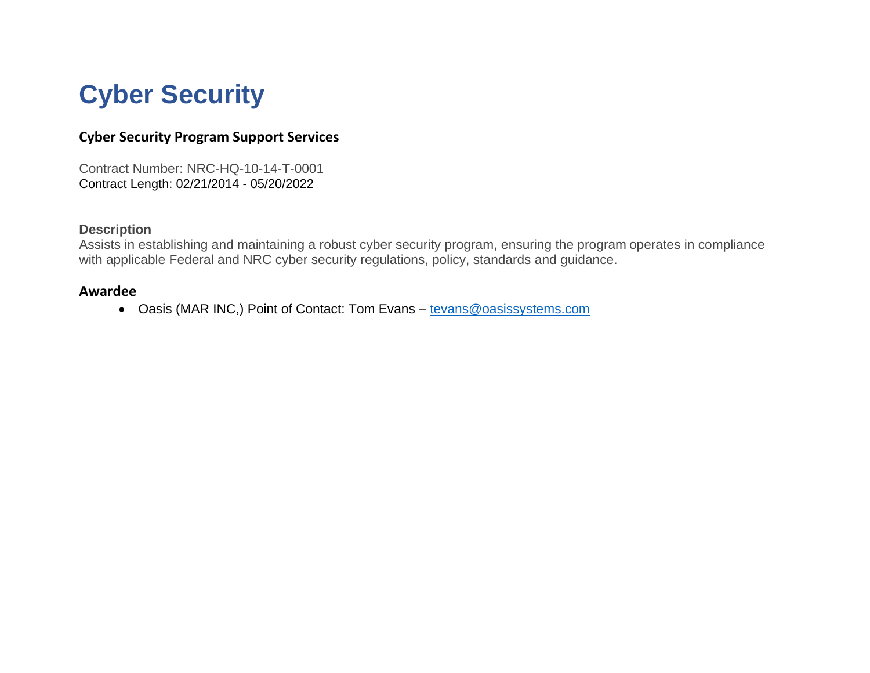# **Cyber Security**

# **Cyber Security Program Support Services**

Contract Number: NRC-HQ-10-14-T-0001 Contract Length: 02/21/2014 - 05/20/2022

#### **Description**

Assists in establishing and maintaining a robust cyber security program, ensuring the program operates in compliance with applicable Federal and NRC cyber security regulations, policy, standards and guidance.

#### **Awardee**

• Oasis (MAR INC,) Point of Contact: Tom Evans – [tevans@oasissystems.com](mailto:tevans@oasissystems.com)